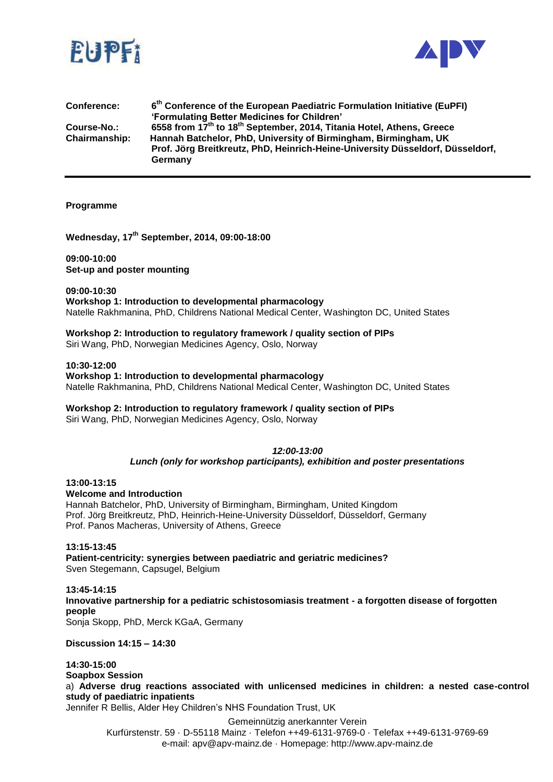



| <b>Conference:</b>   | 6 <sup>th</sup> Conference of the European Paediatric Formulation Initiative (EuPFI)          |
|----------------------|-----------------------------------------------------------------------------------------------|
|                      | 'Formulating Better Medicines for Children'                                                   |
| Course-No.:          | 6558 from 17 <sup>th</sup> to 18 <sup>th</sup> September, 2014, Titania Hotel, Athens, Greece |
| <b>Chairmanship:</b> | Hannah Batchelor, PhD, University of Birmingham, Birmingham, UK                               |
|                      | Prof. Jörg Breitkreutz, PhD, Heinrich-Heine-University Düsseldorf, Düsseldorf,                |
|                      | Germany                                                                                       |

#### **Programme**

**Wednesday, 17th September, 2014, 09:00-18:00**

**09:00-10:00 Set-up and poster mounting**

**09:00-10:30 Workshop 1: Introduction to developmental pharmacology**  Natelle Rakhmanina, PhD, Childrens National Medical Center, Washington DC, United States

## **Workshop 2: Introduction to regulatory framework / quality section of PIPs**

Siri Wang, PhD, Norwegian Medicines Agency, Oslo, Norway

#### **10:30-12:00**

**Workshop 1: Introduction to developmental pharmacology**  Natelle Rakhmanina, PhD, Childrens National Medical Center, Washington DC, United States

#### **Workshop 2: Introduction to regulatory framework / quality section of PIPs**

Siri Wang, PhD, Norwegian Medicines Agency, Oslo, Norway

# *12:00-13:00*

*Lunch (only for workshop participants), exhibition and poster presentations*

## **13:00-13:15**

**Welcome and Introduction**

Hannah Batchelor, PhD, University of Birmingham, Birmingham, United Kingdom Prof. Jörg Breitkreutz, PhD, Heinrich-Heine-University Düsseldorf, Düsseldorf, Germany Prof. Panos Macheras, University of Athens, Greece

#### **13:15-13:45**

**Patient-centricity: synergies between paediatric and geriatric medicines?** Sven Stegemann, Capsugel, Belgium

#### **13:45-14:15 Innovative partnership for a pediatric schistosomiasis treatment - a forgotten disease of forgotten people**

Sonja Skopp, PhD, Merck KGaA, Germany

**Discussion 14:15 – 14:30**

## **14:30-15:00**

**Soapbox Session**

a) **Adverse drug reactions associated with unlicensed medicines in children: a nested case-control study of paediatric inpatients**

Jennifer R Bellis, Alder Hey Children's NHS Foundation Trust, UK

Gemeinnützig anerkannter Verein

Kurfürstenstr. 59 · D-55118 Mainz · Telefon ++49-6131-9769-0 · Telefax ++49-6131-9769-69 e-mail: apv@apv-mainz.de · Homepage: http://www.apv-mainz.de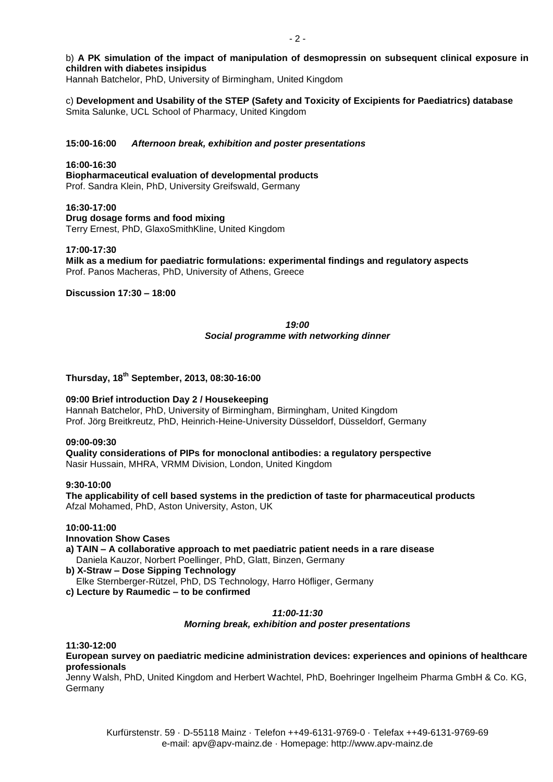## b) **A PK simulation of the impact of manipulation of desmopressin on subsequent clinical exposure in children with diabetes insipidus**

Hannah Batchelor, PhD, University of Birmingham, United Kingdom

c) **Development and Usability of the STEP (Safety and Toxicity of Excipients for Paediatrics) database** Smita Salunke, UCL School of Pharmacy, United Kingdom

#### **15:00-16:00** *Afternoon break, exhibition and poster presentations*

#### **16:00-16:30**

**Biopharmaceutical evaluation of developmental products** Prof. Sandra Klein, PhD, University Greifswald, Germany

**16:30-17:00 Drug dosage forms and food mixing**  Terry Ernest, PhD, GlaxoSmithKline, United Kingdom

#### **17:00-17:30**

**Milk as a medium for paediatric formulations: experimental findings and regulatory aspects** Prof. Panos Macheras, PhD, University of Athens, Greece

## **Discussion 17:30 – 18:00**

## *19:00 Social programme with networking dinner*

## **Thursday, 18th September, 2013, 08:30-16:00**

#### **09:00 Brief introduction Day 2 / Housekeeping**

Hannah Batchelor, PhD, University of Birmingham, Birmingham, United Kingdom Prof. Jörg Breitkreutz, PhD, Heinrich-Heine-University Düsseldorf, Düsseldorf, Germany

#### **09:00-09:30**

**Quality considerations of PIPs for monoclonal antibodies: a regulatory perspective** Nasir Hussain, MHRA, VRMM Division, London, United Kingdom

#### **9:30-10:00**

**The applicability of cell based systems in the prediction of taste for pharmaceutical products** Afzal Mohamed, PhD, Aston University, Aston, UK

## **10:00-11:00**

**Innovation Show Cases**

**a) TAIN – A collaborative approach to met paediatric patient needs in a rare disease** Daniela Kauzor, Norbert Poellinger, PhD, Glatt, Binzen, Germany

#### **b) X-Straw – Dose Sipping Technology**

Elke Sternberger-Rützel, PhD, DS Technology, Harro Höfliger, Germany

**c) Lecture by Raumedic – to be confirmed**

#### *11:00-11:30*

#### *Morning break, exhibition and poster presentations*

#### **11:30-12:00**

**European survey on paediatric medicine administration devices: experiences and opinions of healthcare professionals**

Jenny Walsh, PhD, United Kingdom and Herbert Wachtel, PhD, Boehringer Ingelheim Pharma GmbH & Co. KG, Germany